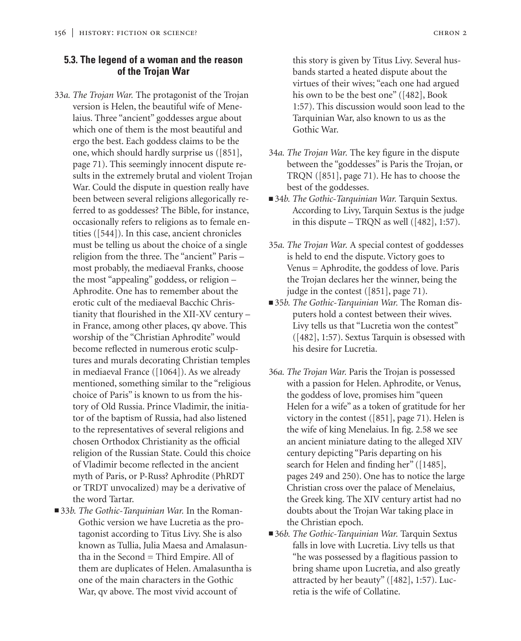#### **5.3. The legend of a woman and the reason of the Trojan War**

- 33*a. The Trojan War.* The protagonist of the Trojan version is Helen, the beautiful wife of Menelaius. Three "ancient" goddesses argue about which one of them is the most beautiful and ergo the best. Each goddess claims to be the one, which should hardly surprise us ([851], page 71). This seemingly innocent dispute results in the extremely brutal and violent Trojan War. Could the dispute in question really have been between several religions allegorically referred to as goddesses? The Bible, for instance, occasionally refers to religions as to female entities ([544]). In this case, ancient chronicles must be telling us about the choice of a single religion from the three. The "ancient" Paris – most probably, the mediaeval Franks, choose the most "appealing" goddess, or religion – Aphrodite. One has to remember about the erotic cult of the mediaeval Bacchic Christianity that flourished in the XII-XV century – in France, among other places, qv above. This worship of the "Christian Aphrodite" would become reflected in numerous erotic sculptures and murals decorating Christian temples in mediaeval France ([1064]). As we already mentioned, something similar to the "religious choice of Paris" is known to us from the history of Old Russia. Prince Vladimir, the initiator of the baptism of Russia, had also listened to the representatives of several religions and chosen Orthodox Christianity as the official religion of the Russian State. Could this choice of Vladimir become reflected in the ancient myth of Paris, or P-Russ? Aphrodite (PhRDT or TRDT unvocalized) may be a derivative of the word Tartar.
- 33*b. The Gothic-Tarquinian War*. In the Roman-Gothic version we have Lucretia as the protagonist according to Titus Livy. She is also known as Tullia, Julia Maesa and Amalasuntha in the Second = Third Empire. All of them are duplicates of Helen. Amalasuntha is one of the main characters in the Gothic War, qv above. The most vivid account of

this story is given by Titus Livy. Several husbands started a heated dispute about the virtues of their wives; "each one had argued his own to be the best one" ([482], Book 1:57). This discussion would soon lead to the Tarquinian War, also known to us as the Gothic War.

- 34*a. The Trojan War.* The key figure in the dispute between the "goddesses" is Paris the Trojan, or TRQN ([851], page 71). He has to choose the best of the goddesses.
- 34*b. The Gothic-Tarquinian War*. Tarquin Sextus. According to Livy, Tarquin Sextus is the judge in this dispute – TRQN as well ([482], 1:57).
- 35*a. The Trojan War.* A special contest of goddesses is held to end the dispute. Victory goes to Venus = Aphrodite, the goddess of love. Paris the Trojan declares her the winner, being the judge in the contest ([851], page 71).
- 35*b. The Gothic-Tarquinian War*. The Roman disputers hold a contest between their wives. Livy tells us that "Lucretia won the contest" ([482], 1:57). Sextus Tarquin is obsessed with his desire for Lucretia.
- 36*a. The Trojan War.* Paris the Trojan is possessed with a passion for Helen. Aphrodite, or Venus, the goddess of love, promises him "queen Helen for a wife" as a token of gratitude for her victory in the contest ([851], page 71). Helen is the wife of king Menelaius. In fig. 2.58 we see an ancient miniature dating to the alleged XIV century depicting "Paris departing on his search for Helen and finding her" ([1485], pages 249 and 250). One has to notice the large Christian cross over the palace of Menelaius, the Greek king. The XIV century artist had no doubts about the Trojan War taking place in the Christian epoch.
- 36*b. The Gothic-Tarquinian War*. Tarquin Sextus falls in love with Lucretia. Livy tells us that "he was possessed by a flagitious passion to bring shame upon Lucretia, and also greatly attracted by her beauty" ([482], 1:57). Lucretia is the wife of Collatine.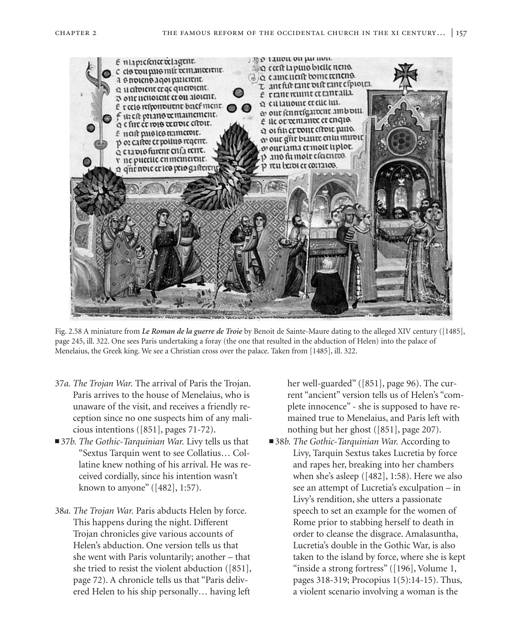

Fig. 2.58 A miniature from *Le Roman de la guerre de Troie* by Benoit de Sainte-Maure dating to the alleged XIV century ([1485], page 245, ill. 322. One sees Paris undertaking a foray (the one that resulted in the abduction of Helen) into the palace of Menelaius, the Greek king. We see a Christian cross over the palace. Taken from [1485], ill. 322.

- 37*a. The Trojan War.* The arrival of Paris the Trojan. Paris arrives to the house of Menelaius, who is unaware of the visit, and receives a friendly reception since no one suspects him of any malicious intentions ([851], pages 71-72).
- 37*b. The Gothic-Tarquinian War.* Livy tells us that "Sextus Tarquin went to see Collatius… Collatine knew nothing of his arrival. He was received cordially, since his intention wasn't known to anyone" ([482], 1:57).
- 38*a. The Trojan War.* Paris abducts Helen by force. This happens during the night. Different Trojan chronicles give various accounts of Helen's abduction. One version tells us that she went with Paris voluntarily; another – that she tried to resist the violent abduction ([851], page 72). A chronicle tells us that "Paris delivered Helen to his ship personally… having left

her well-guarded" ([851], page 96). The current "ancient" version tells us of Helen's "complete innocence" - she is supposed to have remained true to Menelaius, and Paris left with nothing but her ghost ([851], page 207).

■ 38*b. The Gothic-Tarquinian War.* According to Livy, Tarquin Sextus takes Lucretia by force and rapes her, breaking into her chambers when she's asleep ([482], 1:58). Here we also see an attempt of Lucretia's exculpation – in Livy's rendition, she utters a passionate speech to set an example for the women of Rome prior to stabbing herself to death in order to cleanse the disgrace. Amalasuntha, Lucretia's double in the Gothic War, is also taken to the island by force, where she is kept "inside a strong fortress" ([196], Volume 1, pages 318-319; Procopius 1(5):14-15). Thus, a violent scenario involving a woman is the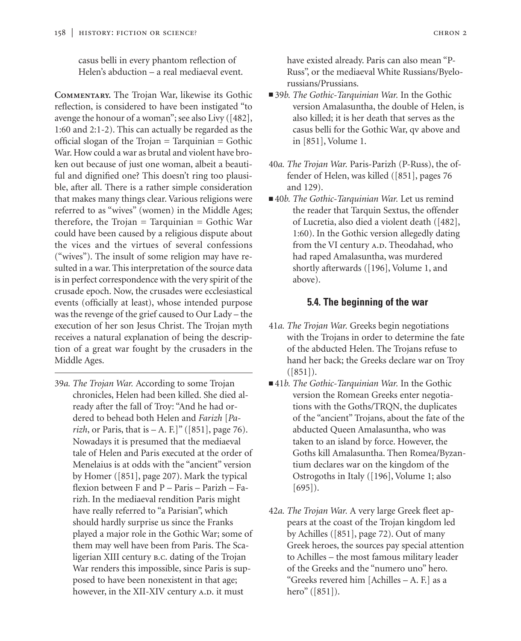casus belli in every phantom reflection of Helen's abduction – a real mediaeval event.

**Commentary.** The Trojan War, likewise its Gothic reflection, is considered to have been instigated "to avenge the honour of a woman"; see also Livy ([482], 1:60 and 2:1-2). This can actually be regarded as the official slogan of the Trojan = Tarquinian = Gothic War. How could a war as brutal and violent have broken out because of just one woman, albeit a beautiful and dignified one? This doesn't ring too plausible, after all. There is a rather simple consideration that makes many things clear. Various religions were referred to as "wives" (women) in the Middle Ages; therefore, the Trojan = Tarquinian = Gothic War could have been caused by a religious dispute about the vices and the virtues of several confessions ("wives"). The insult of some religion may have resulted in a war. This interpretation of the source data is in perfect correspondence with the very spirit of the crusade epoch. Now, the crusades were ecclesiastical events (officially at least), whose intended purpose was the revenge of the grief caused to Our Lady – the execution of her son Jesus Christ. The Trojan myth receives a natural explanation of being the description of a great war fought by the crusaders in the Middle Ages.

39*a. The Trojan War.* According to some Trojan chronicles, Helen had been killed. She died already after the fall of Troy: "And he had ordered to behead both Helen and *Farizh* [*Parizh*, or Paris, that is  $-A$ . F.]" ([851], page 76). Nowadays it is presumed that the mediaeval tale of Helen and Paris executed at the order of Menelaius is at odds with the "ancient" version by Homer ([851], page 207). Mark the typical flexion between F and P – Paris – Parizh – Farizh. In the mediaeval rendition Paris might have really referred to "a Parisian", which should hardly surprise us since the Franks played a major role in the Gothic War; some of them may well have been from Paris. The Scaligerian XIII century b.c. dating of the Trojan War renders this impossible, since Paris is supposed to have been nonexistent in that age; however, in the XII-XIV century A.D. it must

have existed already. Paris can also mean "P-Russ", or the mediaeval White Russians/Byelorussians/Prussians.

- 39*b. The Gothic-Tarquinian War*. In the Gothic version Amalasuntha, the double of Helen, is also killed; it is her death that serves as the casus belli for the Gothic War, qv above and in [851], Volume 1.
- 40*a. The Trojan War.* Paris-Parizh (P-Russ), the offender of Helen, was killed ([851], pages 76 and 129).
- 40*b. The Gothic-Tarquinian War*. Let us remind the reader that Tarquin Sextus, the offender of Lucretia, also died a violent death ([482], 1:60). In the Gothic version allegedly dating from the VI century A.D. Theodahad, who had raped Amalasuntha, was murdered shortly afterwards ([196], Volume 1, and above).

#### **5.4. The beginning of the war**

- 41*a. The Trojan War.* Greeks begin negotiations with the Trojans in order to determine the fate of the abducted Helen. The Trojans refuse to hand her back; the Greeks declare war on Troy  $([851])$ .
- ■41*b. The Gothic-Tarquinian War*. In the Gothic version the Romean Greeks enter negotiations with the Goths/TRQN, the duplicates of the "ancient" Trojans, about the fate of the abducted Queen Amalasuntha, who was taken to an island by force. However, the Goths kill Amalasuntha. Then Romea/Byzantium declares war on the kingdom of the Ostrogoths in Italy ([196], Volume 1; also [695]).
- 42*a. The Trojan War.* A very large Greek fleet appears at the coast of the Trojan kingdom led by Achilles ([851], page 72). Out of many Greek heroes, the sources pay special attention to Achilles – the most famous military leader of the Greeks and the "numero uno" hero. "Greeks revered him [Achilles – A. F.] as a hero" ([851]).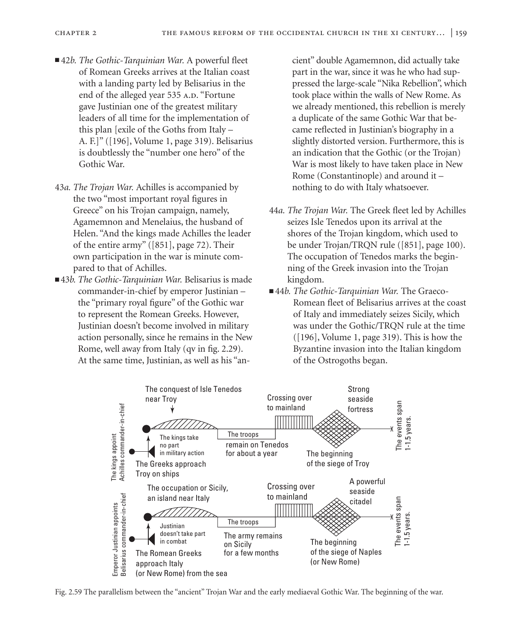- 42*b. The Gothic-Tarquinian War*. A powerful fleet of Romean Greeks arrives at the Italian coast with a landing party led by Belisarius in the end of the alleged year 535 A.D. "Fortune gave Justinian one of the greatest military leaders of all time for the implementation of this plan [exile of the Goths from Italy – A. F.]" ([196], Volume 1, page 319). Belisarius is doubtlessly the "number one hero" of the Gothic War.
- 43*a. The Trojan War.* Achilles is accompanied by the two "most important royal figures in Greece" on his Trojan campaign, namely, Agamemnon and Menelaius, the husband of Helen. "And the kings made Achilles the leader of the entire army" ([851], page 72). Their own participation in the war is minute compared to that of Achilles.
- 43*b. The Gothic-Tarquinian War.* Belisarius is made commander-in-chief by emperor Justinian – the "primary royal figure" of the Gothic war to represent the Romean Greeks. However, Justinian doesn't become involved in military action personally, since he remains in the New Rome, well away from Italy (qv in fig. 2.29). At the same time, Justinian, as well as his "an-

cient" double Agamemnon, did actually take part in the war, since it was he who had suppressed the large-scale "Nika Rebellion", which took place within the walls of New Rome. As we already mentioned, this rebellion is merely a duplicate of the same Gothic War that became reflected in Justinian's biography in a slightly distorted version. Furthermore, this is an indication that the Gothic (or the Trojan) War is most likely to have taken place in New Rome (Constantinople) and around it – nothing to do with Italy whatsoever.

- 44*a. The Trojan War.* The Greek fleet led by Achilles seizes Isle Tenedos upon its arrival at the shores of the Trojan kingdom, which used to be under Trojan/TRQN rule ([851], page 100). The occupation of Tenedos marks the beginning of the Greek invasion into the Trojan kingdom.
- ■44*b. The Gothic-Tarquinian War*. The Graeco-Romean fleet of Belisarius arrives at the coast of Italy and immediately seizes Sicily, which was under the Gothic/TRQN rule at the time  $([196],$  Volume 1, page 319). This is how the Byzantine invasion into the Italian kingdom of the Ostrogoths began.



Fig. 2.59 The parallelism between the "ancient" Trojan War and the early mediaeval Gothic War. The beginning of the war.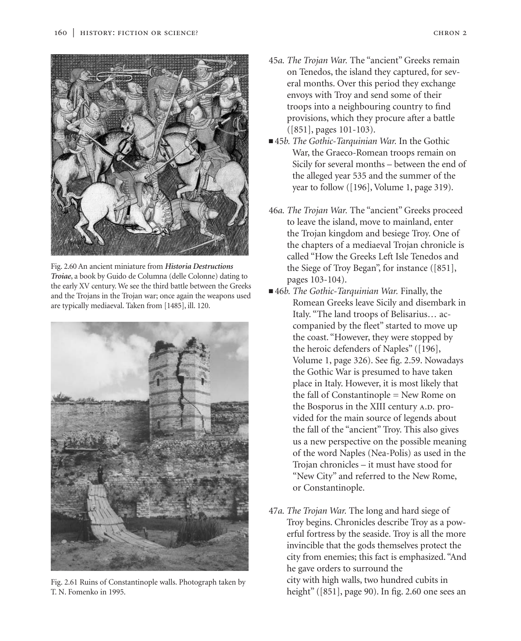

Fig. 2.60 An ancient miniature from *Historia Destructions Troiae*, a book by Guido de Columna (delle Colonne) dating to the early XV century. We see the third battle between the Greeks and the Trojans in the Trojan war; once again the weapons used are typically mediaeval. Taken from [1485], ill. 120.



Fig. 2.61 Ruins of Constantinople walls. Photograph taken by T. N. Fomenko in 1995.

- 45*a. The Trojan War.* The "ancient" Greeks remain on Tenedos, the island they captured, for several months. Over this period they exchange envoys with Troy and send some of their troops into a neighbouring country to find provisions, which they procure after a battle ([851], pages 101-103).
- 45*b. The Gothic-Tarquinian War*. In the Gothic War, the Graeco-Romean troops remain on Sicily for several months – between the end of the alleged year 535 and the summer of the year to follow ([196], Volume 1, page 319).
- 46*a. The Trojan War.* The "ancient" Greeks proceed to leave the island, move to mainland, enter the Trojan kingdom and besiege Troy. One of the chapters of a mediaeval Trojan chronicle is called "How the Greeks Left Isle Tenedos and the Siege of Troy Began", for instance ([851], pages 103-104).
- ■46*b. The Gothic-Tarquinian War*. Finally, the Romean Greeks leave Sicily and disembark in Italy. "The land troops of Belisarius… accompanied by the fleet" started to move up the coast. "However, they were stopped by the heroic defenders of Naples" ([196], Volume 1, page 326). See fig. 2.59. Nowadays the Gothic War is presumed to have taken place in Italy. However, it is most likely that the fall of Constantinople = New Rome on the Bosporus in the XIII century A.D. provided for the main source of legends about the fall of the "ancient" Troy. This also gives us a new perspective on the possible meaning of the word Naples (Nea-Polis) as used in the Trojan chronicles – it must have stood for "New City" and referred to the New Rome, or Constantinople.
- 47*a. The Trojan War.* The long and hard siege of Troy begins. Chronicles describe Troy as a powerful fortress by the seaside. Troy is all the more invincible that the gods themselves protect the city from enemies; this fact is emphasized. "And he gave orders to surround the city with high walls, two hundred cubits in height" ([851], page 90). In fig. 2.60 one sees an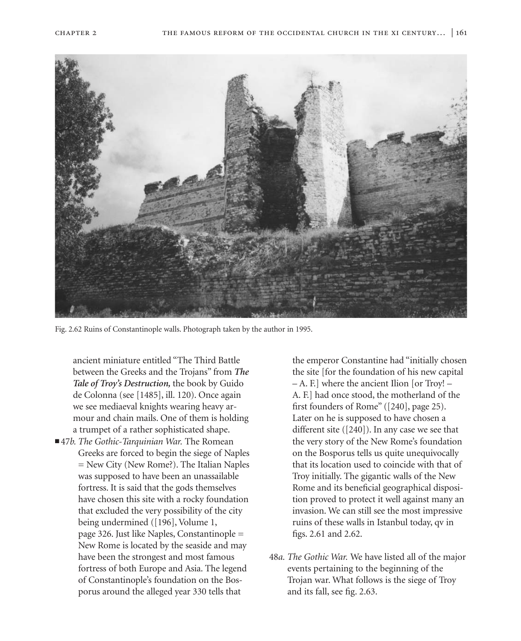

Fig. 2.62 Ruins of Constantinople walls. Photograph taken by the author in 1995.

ancient miniature entitled "The Third Battle between the Greeks and the Trojans" from *The Tale of Troy's Destruction,* the book by Guido de Colonna (see [1485], ill. 120). Once again we see mediaeval knights wearing heavy armour and chain mails. One of them is holding a trumpet of a rather sophisticated shape.

■ 47*b. The Gothic-Tarquinian War*. The Romean Greeks are forced to begin the siege of Naples = New City (New Rome?). The Italian Naples was supposed to have been an unassailable fortress. It is said that the gods themselves have chosen this site with a rocky foundation that excluded the very possibility of the city being undermined ([196], Volume 1, page 326. Just like Naples, Constantinople = New Rome is located by the seaside and may have been the strongest and most famous fortress of both Europe and Asia. The legend of Constantinople's foundation on the Bosporus around the alleged year 330 tells that

the emperor Constantine had "initially chosen the site [for the foundation of his new capital – A. F.] where the ancient Ilion [or Troy! – A. F.] had once stood, the motherland of the first founders of Rome" ([240], page 25). Later on he is supposed to have chosen a different site ([240]). In any case we see that the very story of the New Rome's foundation on the Bosporus tells us quite unequivocally that its location used to coincide with that of Troy initially. The gigantic walls of the New Rome and its beneficial geographical disposition proved to protect it well against many an invasion. We can still see the most impressive ruins of these walls in Istanbul today, qv in figs. 2.61 and 2.62.

48*a. The Gothic War.* We have listed all of the major events pertaining to the beginning of the Trojan war. What follows is the siege of Troy and its fall, see fig. 2.63.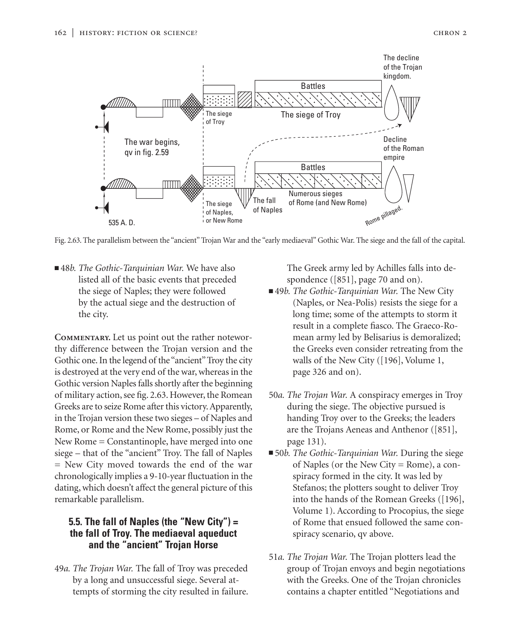

Fig. 2.63. The parallelism between the "ancient" Trojan War and the "early mediaeval" Gothic War. The siege and the fall of the capital.

■48*b. The Gothic-Tarquinian War*. We have also listed all of the basic events that preceded the siege of Naples; they were followed by the actual siege and the destruction of the city.

**Commentary.** Let us point out the rather noteworthy difference between the Trojan version and the Gothic one. In the legend of the "ancient" Troy the city is destroyed at the very end of the war, whereas in the Gothic version Naples falls shortly after the beginning of military action, see fig. 2.63. However, the Romean Greeks are to seize Rome after this victory. Apparently, in the Trojan version these two sieges – of Naples and Rome, or Rome and the New Rome, possibly just the New Rome = Constantinople, have merged into one siege – that of the "ancient" Troy. The fall of Naples = New City moved towards the end of the war chronologically implies a 9-10-year fluctuation in the dating, which doesn't affect the general picture of this remarkable parallelism.

# **5.5. The fall of Naples (the "New City") = the fall of Troy. The mediaeval aqueduct and the "ancient" Trojan Horse**

49*a. The Trojan War.* The fall of Troy was preceded by a long and unsuccessful siege. Several attempts of storming the city resulted in failure.

The Greek army led by Achilles falls into despondence ([851], page 70 and on).

- 49*b. The Gothic-Tarquinian War*. The New City (Naples, or Nea-Polis) resists the siege for a long time; some of the attempts to storm it result in a complete fiasco. The Graeco-Romean army led by Belisarius is demoralized; the Greeks even consider retreating from the walls of the New City ([196], Volume 1, page 326 and on).
- 50*a. The Trojan War.* A conspiracy emerges in Troy during the siege. The objective pursued is handing Troy over to the Greeks; the leaders are the Trojans Aeneas and Anthenor ([851], page 131).
- 50*b. The Gothic-Tarquinian War*. During the siege of Naples (or the New City = Rome), a conspiracy formed in the city. It was led by Stefanos; the plotters sought to deliver Troy into the hands of the Romean Greeks ([196], Volume 1). According to Procopius, the siege of Rome that ensued followed the same conspiracy scenario, qv above.
- 51*a. The Trojan War.* The Trojan plotters lead the group of Trojan envoys and begin negotiations with the Greeks. One of the Trojan chronicles contains a chapter entitled "Negotiations and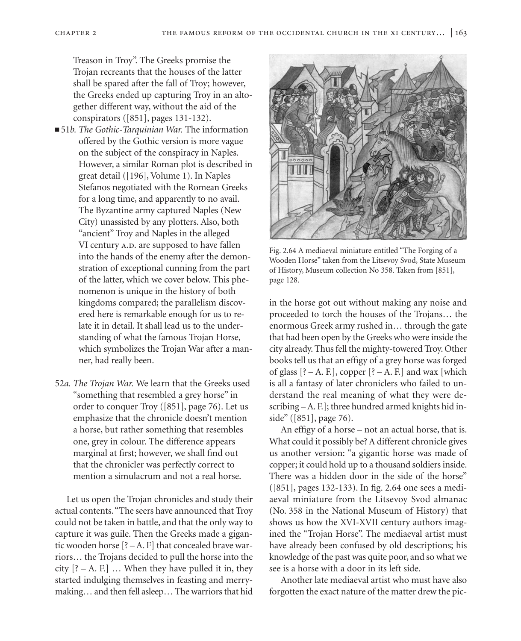Treason in Troy". The Greeks promise the Trojan recreants that the houses of the latter shall be spared after the fall of Troy; however, the Greeks ended up capturing Troy in an altogether different way, without the aid of the conspirators ([851], pages 131-132).

- 51*b. The Gothic-Tarquinian War.* The information offered by the Gothic version is more vague on the subject of the conspiracy in Naples. However, a similar Roman plot is described in great detail ([196], Volume 1). In Naples Stefanos negotiated with the Romean Greeks for a long time, and apparently to no avail. The Byzantine army captured Naples (New City) unassisted by any plotters. Also, both "ancient" Troy and Naples in the alleged VI century A.D. are supposed to have fallen into the hands of the enemy after the demonstration of exceptional cunning from the part of the latter, which we cover below. This phenomenon is unique in the history of both kingdoms compared; the parallelism discovered here is remarkable enough for us to relate it in detail. It shall lead us to the understanding of what the famous Trojan Horse, which symbolizes the Trojan War after a manner, had really been.
- 52*a. The Trojan War.* We learn that the Greeks used "something that resembled a grey horse" in order to conquer Troy ([851], page 76). Let us emphasize that the chronicle doesn't mention a horse, but rather something that resembles one, grey in colour. The difference appears marginal at first; however, we shall find out that the chronicler was perfectly correct to mention a simulacrum and not a real horse.

Let us open the Trojan chronicles and study their actual contents."The seers have announced that Troy could not be taken in battle, and that the only way to capture it was guile. Then the Greeks made a gigantic wooden horse [? – A. F] that concealed brave warriors… the Trojans decided to pull the horse into the city  $[? - A. F.]$  ... When they have pulled it in, they started indulging themselves in feasting and merrymaking… and then fell asleep… The warriors that hid



Fig. 2.64 A mediaeval miniature entitled "The Forging of a Wooden Horse" taken from the Litsevoy Svod, State Museum of History, Museum collection No 358. Taken from [851], page 128.

in the horse got out without making any noise and proceeded to torch the houses of the Trojans… the enormous Greek army rushed in… through the gate that had been open by the Greeks who were inside the city already. Thus fell the mighty-towered Troy. Other books tell us that an effigy of a grey horse was forged of glass  $[? - A$ . F.], copper  $[? - A$ . F.] and wax [which is all a fantasy of later chroniclers who failed to understand the real meaning of what they were describing – A. F.]; three hundred armed knights hid inside" ([851], page 76).

An effigy of a horse – not an actual horse, that is. What could it possibly be? A different chronicle gives us another version: "a gigantic horse was made of copper; it could hold up to a thousand soldiers inside. There was a hidden door in the side of the horse" ([851], pages 132-133). In fig. 2.64 one sees a mediaeval miniature from the Litsevoy Svod almanac (No. 358 in the National Museum of History) that shows us how the XVI-XVII century authors imagined the "Trojan Horse". The mediaeval artist must have already been confused by old descriptions; his knowledge of the past was quite poor, and so what we see is a horse with a door in its left side.

Another late mediaeval artist who must have also forgotten the exact nature of the matter drew the pic-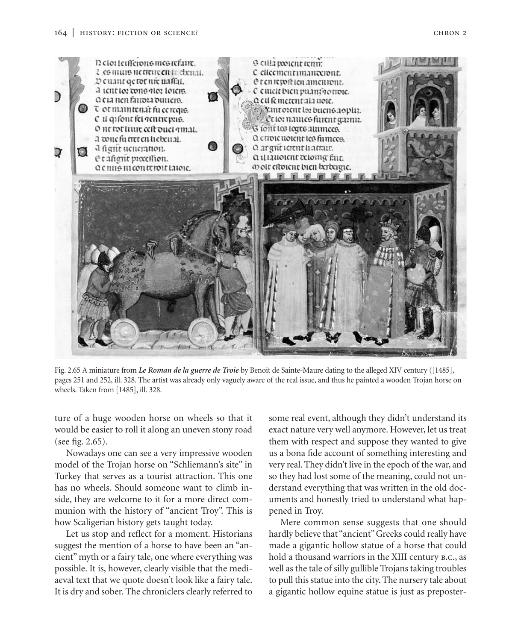

Fig. 2.65 A miniature from *Le Roman de la guerre de Troie* by Benoit de Sainte-Maure dating to the alleged XIV century ([1485], pages 251 and 252, ill. 328. The artist was already only vaguely aware of the real issue, and thus he painted a wooden Trojan horse on wheels. Taken from [1485], ill. 328.

ture of a huge wooden horse on wheels so that it would be easier to roll it along an uneven stony road (see fig. 2.65).

Nowadays one can see a very impressive wooden model of the Trojan horse on "Schliemann's site" in Turkey that serves as a tourist attraction. This one has no wheels. Should someone want to climb inside, they are welcome to it for a more direct communion with the history of "ancient Troy". This is how Scaligerian history gets taught today.

Let us stop and reflect for a moment. Historians suggest the mention of a horse to have been an "ancient" myth or a fairy tale, one where everything was possible. It is, however, clearly visible that the mediaeval text that we quote doesn't look like a fairy tale. It is dry and sober. The chroniclers clearly referred to some real event, although they didn't understand its exact nature very well anymore. However, let us treat them with respect and suppose they wanted to give us a bona fide account of something interesting and very real. They didn't live in the epoch of the war, and so they had lost some of the meaning, could not understand everything that was written in the old documents and honestly tried to understand what happened in Troy.

Mere common sense suggests that one should hardly believe that "ancient" Greeks could really have made a gigantic hollow statue of a horse that could hold a thousand warriors in the XIII century b.c., as well as the tale of silly gullible Trojans taking troubles to pull this statue into the city. The nursery tale about a gigantic hollow equine statue is just as preposter-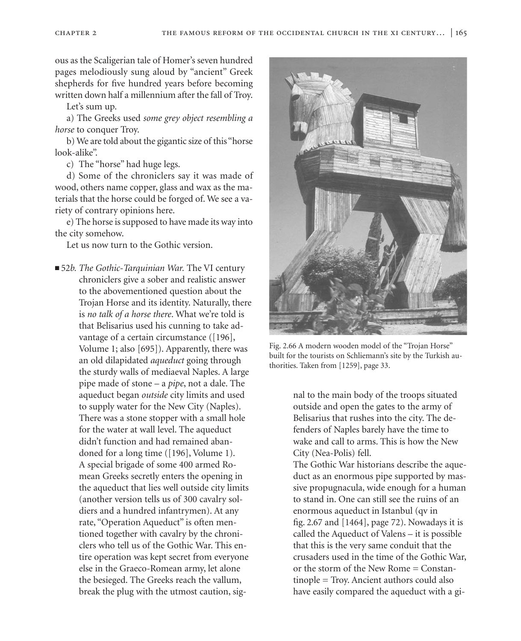ous as the Scaligerian tale of Homer's seven hundred pages melodiously sung aloud by "ancient" Greek shepherds for five hundred years before becoming written down half a millennium after the fall of Troy.

Let's sum up.

a) The Greeks used *some grey object resembling a horse* to conquer Troy.

b) We are told about the gigantic size of this "horse look-alike".

c) The "horse" had huge legs.

d) Some of the chroniclers say it was made of wood, others name copper, glass and wax as the materials that the horse could be forged of. We see a variety of contrary opinions here.

e) The horse is supposed to have made its way into the city somehow.

Let us now turn to the Gothic version.

■ 52*b. The Gothic-Tarquinian War*. The VI century chroniclers give a sober and realistic answer to the abovementioned question about the Trojan Horse and its identity. Naturally, there is *no talk of a horse there*. What we're told is that Belisarius used his cunning to take advantage of a certain circumstance ([196], Volume 1; also [695]). Apparently, there was an old dilapidated *aqueduct* going through the sturdy walls of mediaeval Naples. A large pipe made of stone – a *pipe*, not a dale. The aqueduct began *outside* city limits and used to supply water for the New City (Naples). There was a stone stopper with a small hole for the water at wall level. The aqueduct didn't function and had remained abandoned for a long time ([196], Volume 1). A special brigade of some 400 armed Romean Greeks secretly enters the opening in the aqueduct that lies well outside city limits (another version tells us of 300 cavalry soldiers and a hundred infantrymen). At any rate, "Operation Aqueduct" is often mentioned together with cavalry by the chroniclers who tell us of the Gothic War. This entire operation was kept secret from everyone else in the Graeco-Romean army, let alone the besieged. The Greeks reach the vallum, break the plug with the utmost caution, sig-



Fig. 2.66 A modern wooden model of the "Trojan Horse" built for the tourists on Schliemann's site by the Turkish authorities. Taken from [1259], page 33.

nal to the main body of the troops situated outside and open the gates to the army of Belisarius that rushes into the city. The defenders of Naples barely have the time to wake and call to arms. This is how the New City (Nea-Polis) fell.

The Gothic War historians describe the aqueduct as an enormous pipe supported by massive propugnacula, wide enough for a human to stand in. One can still see the ruins of an enormous aqueduct in Istanbul (qv in fig. 2.67 and [1464], page 72). Nowadays it is called the Aqueduct of Valens – it is possible that this is the very same conduit that the crusaders used in the time of the Gothic War, or the storm of the New Rome = Constantinople = Troy. Ancient authors could also have easily compared the aqueduct with a gi-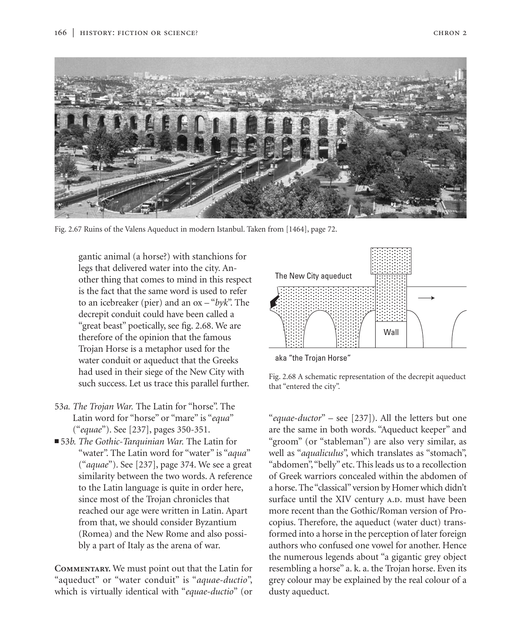

Fig. 2.67 Ruins of the Valens Aqueduct in modern Istanbul. Taken from [1464], page 72.

gantic animal (a horse?) with stanchions for legs that delivered water into the city. Another thing that comes to mind in this respect is the fact that the same word is used to refer to an icebreaker (pier) and an ox – "*byk*". The decrepit conduit could have been called a "great beast" poetically, see fig. 2.68. We are therefore of the opinion that the famous Trojan Horse is a metaphor used for the water conduit or aqueduct that the Greeks had used in their siege of the New City with such success. Let us trace this parallel further.

- 53*a. The Trojan War.* The Latin for "horse". The Latin word for "horse" or "mare" is "*equa*" ("*equae*"). See [237], pages 350-351.
- 53*b. The Gothic-Tarquinian War*. The Latin for "water". The Latin word for "water" is "*aqua*" ("*aquae*"). See [237], page 374. We see a great similarity between the two words. A reference to the Latin language is quite in order here, since most of the Trojan chronicles that reached our age were written in Latin. Apart from that, we should consider Byzantium (Romea) and the New Rome and also possibly a part of Italy as the arena of war.

**Commentary.** We must point out that the Latin for "aqueduct" or "water conduit" is "*aquae-ductio*", which is virtually identical with "*equae-ductio*" (or



aka "the Trojan Horse"

Fig. 2.68 A schematic representation of the decrepit aqueduct that "entered the city".

"*equae-ductor*" – see [237]). All the letters but one are the same in both words. "Aqueduct keeper" and "groom" (or "stableman") are also very similar, as well as "*aqualiculus*", which translates as "stomach", "abdomen","belly" etc. This leads us to a recollection of Greek warriors concealed within the abdomen of a horse. The "classical" version by Homer which didn't surface until the XIV century A.D. must have been more recent than the Gothic/Roman version of Procopius. Therefore, the aqueduct (water duct) transformed into a horse in the perception of later foreign authors who confused one vowel for another. Hence the numerous legends about "a gigantic grey object resembling a horse" a. k. a. the Trojan horse. Even its grey colour may be explained by the real colour of a dusty aqueduct.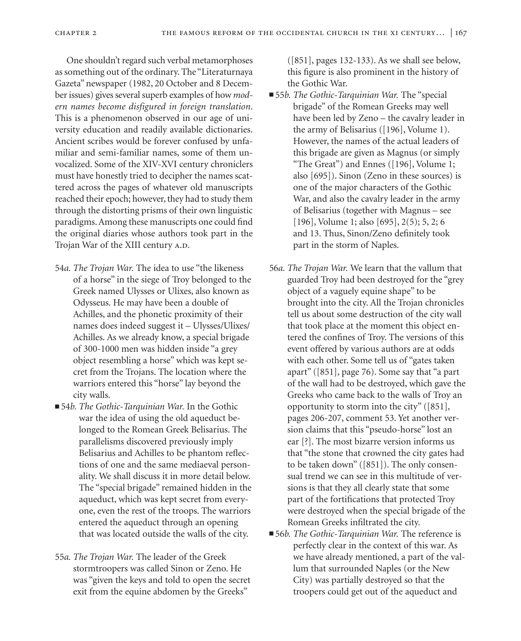One shouldn't regard such verbal metamorphoses as something out of the ordinary. The "Literaturnaya Gazeta" newspaper (1982, 20 October and 8 December issues) gives several superb examples of how *modern names become disfigured in foreign translation*. This is a phenomenon observed in our age of university education and readily available dictionaries. Ancient scribes would be forever confused by unfamiliar and semi-familiar names, some of them unvocalized. Some of the XIV-XVI century chroniclers must have honestly tried to decipher the names scattered across the pages of whatever old manuscripts reached their epoch; however, they had to study them through the distorting prisms of their own linguistic paradigms. Among these manuscripts one could find the original diaries whose authors took part in the Trojan War of the XIII century A.D.

- 54*a. The Trojan War.* The idea to use "the likeness of a horse" in the siege of Troy belonged to the Greek named Ulysses or Ulixes, also known as Odysseus. He may have been a double of Achilles, and the phonetic proximity of their names does indeed suggest it – Ulysses/Ulixes/ Achilles. As we already know, a special brigade of 300-1000 men was hidden inside "a grey object resembling a horse" which was kept secret from the Trojans. The location where the warriors entered this "horse" lay beyond the city walls.
- 54*b. The Gothic-Tarquinian War*. In the Gothic war the idea of using the old aqueduct belonged to the Romean Greek Belisarius. The parallelisms discovered previously imply Belisarius and Achilles to be phantom reflections of one and the same mediaeval personality. We shall discuss it in more detail below. The "special brigade" remained hidden in the aqueduct, which was kept secret from everyone, even the rest of the troops. The warriors entered the aqueduct through an opening that was located outside the walls of the city.
- 55*a. The Trojan War.* The leader of the Greek stormtroopers was called Sinon or Zeno. He was "given the keys and told to open the secret exit from the equine abdomen by the Greeks"

([851], pages 132-133). As we shall see below, this figure is also prominent in the history of the Gothic War.

- 55*b. The Gothic-Tarquinian War.* The "special brigade" of the Romean Greeks may well have been led by Zeno – the cavalry leader in the army of Belisarius ([196], Volume 1). However, the names of the actual leaders of this brigade are given as Magnus (or simply "The Great") and Ennes ([196], Volume 1; also [695]). Sinon (Zeno in these sources) is one of the major characters of the Gothic War, and also the cavalry leader in the army of Belisarius (together with Magnus – see [196], Volume 1; also [695], 2(5); 5, 2; 6 and 13. Thus, Sinon/Zeno definitely took part in the storm of Naples.
- 56*a. The Trojan War.* We learn that the vallum that guarded Troy had been destroyed for the "grey object of a vaguely equine shape" to be brought into the city. All the Trojan chronicles tell us about some destruction of the city wall that took place at the moment this object entered the confines of Troy. The versions of this event offered by various authors are at odds with each other. Some tell us of "gates taken apart" ([851], page 76). Some say that "a part of the wall had to be destroyed, which gave the Greeks who came back to the walls of Troy an opportunity to storm into the city" ([851], pages 206-207, comment 53. Yet another version claims that this "pseudo-horse" lost an ear [?]. The most bizarre version informs us that "the stone that crowned the city gates had to be taken down" ([851]). The only consensual trend we can see in this multitude of versions is that they all clearly state that some part of the fortifications that protected Troy were destroyed when the special brigade of the Romean Greeks infiltrated the city.
- 56*b. The Gothic-Tarquinian War*. The reference is perfectly clear in the context of this war. As we have already mentioned, a part of the vallum that surrounded Naples (or the New City) was partially destroyed so that the troopers could get out of the aqueduct and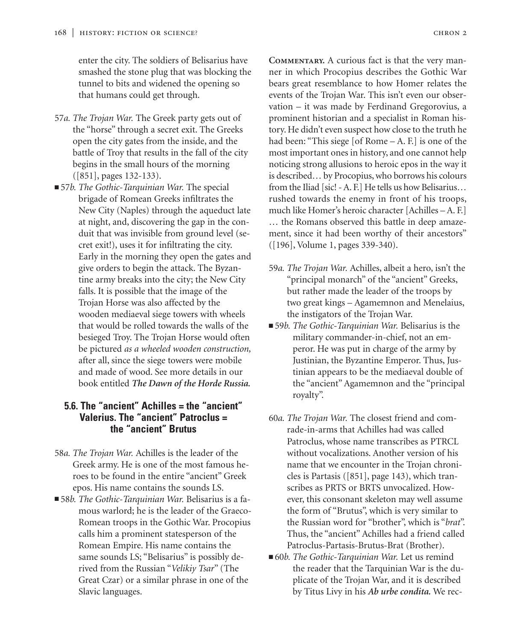enter the city. The soldiers of Belisarius have smashed the stone plug that was blocking the tunnel to bits and widened the opening so that humans could get through.

- 57*a. The Trojan War.* The Greek party gets out of the "horse" through a secret exit. The Greeks open the city gates from the inside, and the battle of Troy that results in the fall of the city begins in the small hours of the morning ([851], pages 132-133).
- 57*b. The Gothic-Tarquinian War*. The special brigade of Romean Greeks infiltrates the New City (Naples) through the aqueduct late at night, and, discovering the gap in the conduit that was invisible from ground level (secret exit!), uses it for infiltrating the city. Early in the morning they open the gates and give orders to begin the attack. The Byzantine army breaks into the city; the New City falls. It is possible that the image of the Trojan Horse was also affected by the wooden mediaeval siege towers with wheels that would be rolled towards the walls of the besieged Troy. The Trojan Horse would often be pictured *as a wheeled wooden construction,* after all, since the siege towers were mobile and made of wood. See more details in our book entitled *The Dawn of the Horde Russia.*

## **5.6. The "ancient" Achilles = the "ancient" Valerius. The "ancient" Patroclus = the "ancient" Brutus**

- 58*a. The Trojan War.* Achilles is the leader of the Greek army. He is one of the most famous heroes to be found in the entire "ancient" Greek epos. His name contains the sounds LS.
- 58*b. The Gothic-Tarquinian War*. Belisarius is a famous warlord; he is the leader of the Graeco-Romean troops in the Gothic War. Procopius calls him a prominent statesperson of the Romean Empire. His name contains the same sounds LS; "Belisarius" is possibly derived from the Russian "*Velikiy Tsar*" (The Great Czar) or a similar phrase in one of the Slavic languages.

**Commentary.** A curious fact is that the very manner in which Procopius describes the Gothic War bears great resemblance to how Homer relates the events of the Trojan War. This isn't even our observation – it was made by Ferdinand Gregorovius, a prominent historian and a specialist in Roman history. He didn't even suspect how close to the truth he had been: "This siege [of Rome – A. F.] is one of the most important ones in history, and one cannot help noticing strong allusions to heroic epos in the way it is described… by Procopius, who borrows his colours from the Iliad [sic! - A. F.] He tells us how Belisarius… rushed towards the enemy in front of his troops, much like Homer's heroic character [Achilles – A. F.] … the Romans observed this battle in deep amazement, since it had been worthy of their ancestors" ([196], Volume 1, pages 339-340).

- 59*a. The Trojan War.* Achilles, albeit a hero, isn't the "principal monarch" of the "ancient" Greeks, but rather made the leader of the troops by two great kings – Agamemnon and Menelaius, the instigators of the Trojan War.
- 59*b. The Gothic-Tarquinian War.* Belisarius is the military commander-in-chief, not an emperor. He was put in charge of the army by Justinian, the Byzantine Emperor. Thus, Justinian appears to be the mediaeval double of the "ancient" Agamemnon and the "principal royalty".
- 60*a. The Trojan War.* The closest friend and comrade-in-arms that Achilles had was called Patroclus, whose name transcribes as PTRCL without vocalizations. Another version of his name that we encounter in the Trojan chronicles is Partasis ([851], page 143), which transcribes as PRTS or BRTS unvocalized. However, this consonant skeleton may well assume the form of "Brutus", which is very similar to the Russian word for "brother", which is "*brat*". Thus, the "ancient" Achilles had a friend called Patroclus-Partasis-Brutus-Brat (Brother).
- 60*b. The Gothic-Tarquinian War*. Let us remind the reader that the Tarquinian War is the duplicate of the Trojan War, and it is described by Titus Livy in his *Ab urbe condita.* We rec-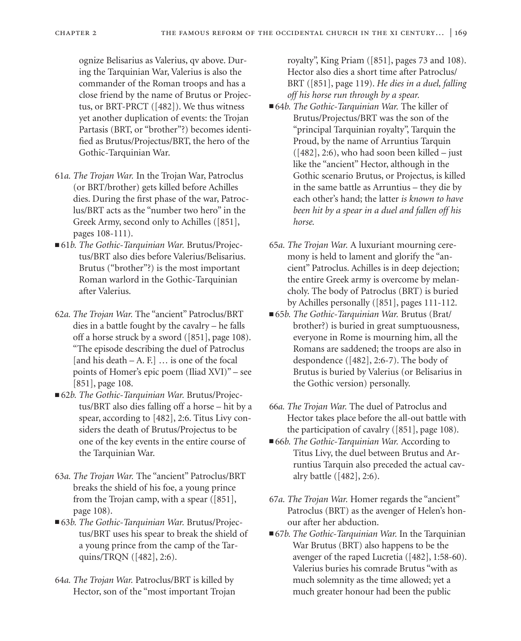ognize Belisarius as Valerius, qv above. During the Tarquinian War, Valerius is also the commander of the Roman troops and has a close friend by the name of Brutus or Projectus, or BRT-PRCT ([482]). We thus witness yet another duplication of events: the Trojan Partasis (BRT, or "brother"?) becomes identified as Brutus/Projectus/BRT, the hero of the Gothic-Tarquinian War.

- 61*a. The Trojan War.* In the Trojan War, Patroclus (or BRT/brother) gets killed before Achilles dies. During the first phase of the war, Patroclus/BRT acts as the "number two hero" in the Greek Army, second only to Achilles ([851], pages 108-111).
- 61*b. The Gothic-Tarquinian War. Brutus*/Projectus/BRT also dies before Valerius/Belisarius. Brutus ("brother"?) is the most important Roman warlord in the Gothic-Tarquinian after Valerius.
- 62*a. The Trojan War.* The "ancient" Patroclus/BRT dies in a battle fought by the cavalry – he falls off a horse struck by a sword ([851], page 108). "The episode describing the duel of Patroclus [and his death – A. F.]  $\ldots$  is one of the focal points of Homer's epic poem (Iliad XVI)" – see [851], page 108.
- 62*b. The Gothic-Tarquinian War. Brutus*/Projectus/BRT also dies falling off a horse – hit by a spear, according to [482], 2:6. Titus Livy considers the death of Brutus/Projectus to be one of the key events in the entire course of the Tarquinian War.
- 63*a. The Trojan War.* The "ancient" Patroclus/BRT breaks the shield of his foe, a young prince from the Trojan camp, with a spear ([851], page 108).
- 63*b. The Gothic-Tarquinian War. Brutus*/Projectus/BRT uses his spear to break the shield of a young prince from the camp of the Tarquins/TRQN ([482], 2:6).
- 64*a. The Trojan War.* Patroclus/BRT is killed by Hector, son of the "most important Trojan

royalty", King Priam ([851], pages 73 and 108). Hector also dies a short time after Patroclus/ BRT ([851], page 119). *He dies in a duel, falling off his horse run through by a spear.*

- 64*b. The Gothic-Tarquinian War*. The killer of Brutus/Projectus/BRT was the son of the "principal Tarquinian royalty", Tarquin the Proud, by the name of Arruntius Tarquin  $([482], 2:6)$ , who had soon been killed – just like the "ancient" Hector, although in the Gothic scenario Brutus, or Projectus, is killed in the same battle as Arruntius – they die by each other's hand; the latter *is known to have been hit by a spear in a duel and fallen off his horse.*
- 65*a. The Trojan War.* A luxuriant mourning ceremony is held to lament and glorify the "ancient" Patroclus. Achilles is in deep dejection; the entire Greek army is overcome by melancholy. The body of Patroclus (BRT) is buried by Achilles personally ([851], pages 111-112.
- 65*b. The Gothic-Tarquinian War. Brutus* (Brat/ brother?) is buried in great sumptuousness, everyone in Rome is mourning him, all the Romans are saddened; the troops are also in despondence ([482], 2:6-7). The body of Brutus is buried by Valerius (or Belisarius in the Gothic version) personally.
- 66*a. The Trojan War.* The duel of Patroclus and Hector takes place before the all-out battle with the participation of cavalry ([851], page 108).
- 66*b. The Gothic-Tarquinian War.* According to Titus Livy, the duel between Brutus and Arruntius Tarquin also preceded the actual cavalry battle ([482], 2:6).
- 67*a. The Trojan War.* Homer regards the "ancient" Patroclus (BRT) as the avenger of Helen's honour after her abduction.
- 67*b. The Gothic-Tarquinian War*. In the Tarquinian War Brutus (BRT) also happens to be the avenger of the raped Lucretia ([482], 1:58-60). Valerius buries his comrade Brutus "with as much solemnity as the time allowed; yet a much greater honour had been the public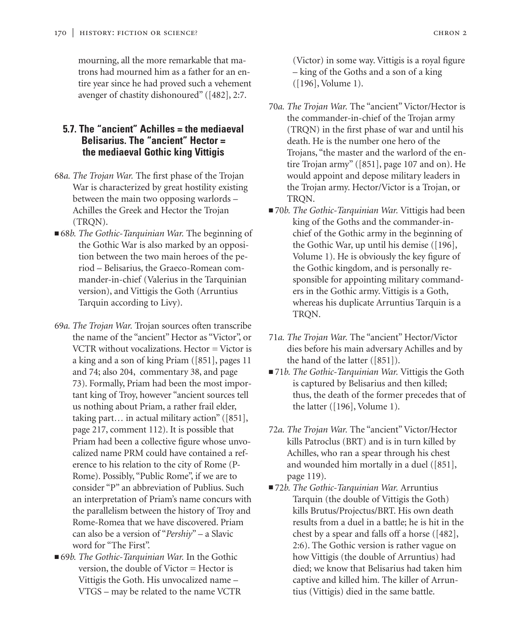mourning, all the more remarkable that matrons had mourned him as a father for an entire year since he had proved such a vehement avenger of chastity dishonoured" ([482], 2:7.

# **5.7. The "ancient" Achilles = the mediaeval Belisarius. The "ancient" Hector = the mediaeval Gothic king Vittigis**

- 68*a. The Trojan War.* The first phase of the Trojan War is characterized by great hostility existing between the main two opposing warlords – Achilles the Greek and Hector the Trojan (TRQN).
- 68*b. The Gothic-Tarquinian War*. The beginning of the Gothic War is also marked by an opposition between the two main heroes of the period – Belisarius, the Graeco-Romean commander-in-chief (Valerius in the Tarquinian version), and Vittigis the Goth (Arruntius Tarquin according to Livy).
- 69*a. The Trojan War.* Trojan sources often transcribe the name of the "ancient" Hector as "Victor", or VCTR without vocalizations. Hector = Victor is a king and a son of king Priam ([851], pages 11 and 74; also 204, commentary 38, and page 73). Formally, Priam had been the most important king of Troy, however "ancient sources tell us nothing about Priam, a rather frail elder, taking part… in actual military action" ([851], page 217, comment 112). It is possible that Priam had been a collective figure whose unvocalized name PRM could have contained a reference to his relation to the city of Rome (P-Rome). Possibly, "Public Rome", if we are to consider "P" an abbreviation of Publius. Such an interpretation of Priam's name concurs with the parallelism between the history of Troy and Rome-Romea that we have discovered. Priam can also be a version of "*Pershiy*" – a Slavic word for "The First".
- 69*b. The Gothic-Tarquinian War*. In the Gothic version, the double of Victor = Hector is Vittigis the Goth. His unvocalized name – VTGS – may be related to the name VCTR

(Victor) in some way. Vittigis is a royal figure – king of the Goths and a son of a king ([196], Volume 1).

- 70*a. The Trojan War.* The "ancient" Victor/Hector is the commander-in-chief of the Trojan army (TRQN) in the first phase of war and until his death. He is the number one hero of the Trojans, "the master and the warlord of the entire Trojan army" ([851], page 107 and on). He would appoint and depose military leaders in the Trojan army. Hector/Victor is a Trojan, or TRQN.
- 70*b. The Gothic-Tarquinian War*. Vittigis had been king of the Goths and the commander-inchief of the Gothic army in the beginning of the Gothic War, up until his demise ([196], Volume 1). He is obviously the key figure of the Gothic kingdom, and is personally responsible for appointing military commanders in the Gothic army. Vittigis is a Goth, whereas his duplicate Arruntius Tarquin is a TRQN.
- 71*a. The Trojan War.* The "ancient" Hector/Victor dies before his main adversary Achilles and by the hand of the latter ([851]).
- 71*b. The Gothic-Tarquinian War.* Vittigis the Goth is captured by Belisarius and then killed; thus, the death of the former precedes that of the latter ([196], Volume 1).
- 72*a. The Trojan War.* The "ancient" Victor/Hector kills Patroclus (BRT) and is in turn killed by Achilles, who ran a spear through his chest and wounded him mortally in a duel ([851], page 119).
- 72*b. The Gothic-Tarquinian War.* Arruntius Tarquin (the double of Vittigis the Goth) kills Brutus/Projectus/BRT. His own death results from a duel in a battle; he is hit in the chest by a spear and falls off a horse ([482], 2:6). The Gothic version is rather vague on how Vittigis (the double of Arruntius) had died; we know that Belisarius had taken him captive and killed him. The killer of Arruntius (Vittigis) died in the same battle.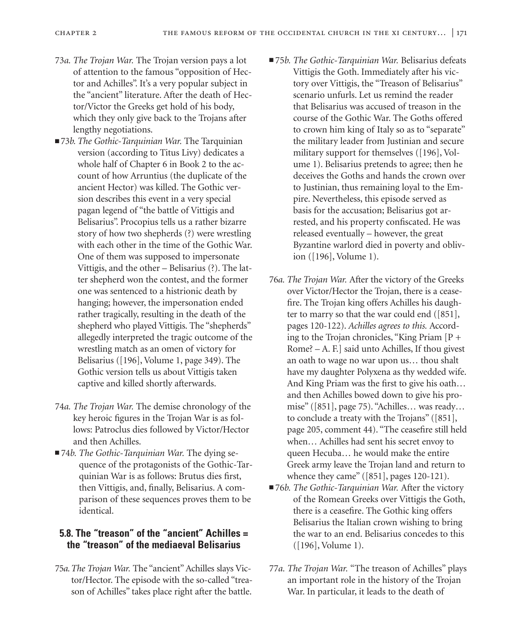- 73*a. The Trojan War.* The Trojan version pays a lot of attention to the famous "opposition of Hector and Achilles". It's a very popular subject in the "ancient" literature. After the death of Hector/Victor the Greeks get hold of his body, which they only give back to the Trojans after lengthy negotiations.
- 73*b. The Gothic-Tarquinian War*. The Tarquinian version (according to Titus Livy) dedicates a whole half of Chapter 6 in Book 2 to the account of how Arruntius (the duplicate of the ancient Hector) was killed. The Gothic version describes this event in a very special pagan legend of "the battle of Vittigis and Belisarius". Procopius tells us a rather bizarre story of how two shepherds (?) were wrestling with each other in the time of the Gothic War. One of them was supposed to impersonate Vittigis, and the other – Belisarius (?). The latter shepherd won the contest, and the former one was sentenced to a histrionic death by hanging; however, the impersonation ended rather tragically, resulting in the death of the shepherd who played Vittigis. The "shepherds" allegedly interpreted the tragic outcome of the wrestling match as an omen of victory for Belisarius ([196], Volume 1, page 349). The Gothic version tells us about Vittigis taken captive and killed shortly afterwards.
- 74*a. The Trojan War.* The demise chronology of the key heroic figures in the Trojan War is as follows: Patroclus dies followed by Victor/Hector and then Achilles.
- 74*b. The Gothic-Tarquinian War*. The dying sequence of the protagonists of the Gothic-Tarquinian War is as follows: Brutus dies first, then Vittigis, and, finally, Belisarius. A comparison of these sequences proves them to be identical.

# **5.8. The "treason" of the "ancient" Achilles = the "treason" of the mediaeval Belisarius**

75*a.The Trojan War.* The "ancient" Achilles slays Victor/Hector. The episode with the so-called "treason of Achilles" takes place right after the battle.

- 75*b. The Gothic-Tarquinian War*. Belisarius defeats Vittigis the Goth. Immediately after his victory over Vittigis, the "Treason of Belisarius" scenario unfurls. Let us remind the reader that Belisarius was accused of treason in the course of the Gothic War. The Goths offered to crown him king of Italy so as to "separate" the military leader from Justinian and secure military support for themselves ([196], Volume 1). Belisarius pretends to agree; then he deceives the Goths and hands the crown over to Justinian, thus remaining loyal to the Empire. Nevertheless, this episode served as basis for the accusation; Belisarius got arrested, and his property confiscated. He was released eventually – however, the great Byzantine warlord died in poverty and oblivion ([196], Volume 1).
- 76*a. The Trojan War.* After the victory of the Greeks over Victor/Hector the Trojan, there is a ceasefire. The Trojan king offers Achilles his daughter to marry so that the war could end ([851], pages 120-122). *Achilles agrees to this.* According to the Trojan chronicles, "King Priam [P + Rome? – A. F.] said unto Achilles, If thou givest an oath to wage no war upon us… thou shalt have my daughter Polyxena as thy wedded wife. And King Priam was the first to give his oath… and then Achilles bowed down to give his promise" ([851], page 75). "Achilles… was ready… to conclude a treaty with the Trojans" ([851], page 205, comment 44). "The ceasefire still held when… Achilles had sent his secret envoy to queen Hecuba… he would make the entire Greek army leave the Trojan land and return to whence they came" ([851], pages 120-121).
- 76*b. The Gothic-Tarquinian War*. After the victory of the Romean Greeks over Vittigis the Goth, there is a ceasefire. The Gothic king offers Belisarius the Italian crown wishing to bring the war to an end. Belisarius concedes to this ([196], Volume 1).
- 77*a. The Trojan War.* "The treason of Achilles" plays an important role in the history of the Trojan War. In particular, it leads to the death of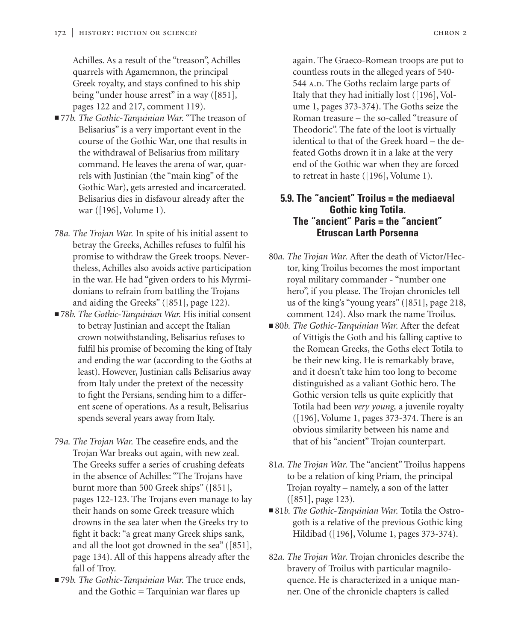Achilles. As a result of the "treason", Achilles quarrels with Agamemnon, the principal Greek royalty, and stays confined to his ship being "under house arrest" in a way ([851], pages 122 and 217, comment 119).

- 77*b. The Gothic-Tarquinian War*. "The treason of Belisarius" is a very important event in the course of the Gothic War, one that results in the withdrawal of Belisarius from military command. He leaves the arena of war, quarrels with Justinian (the "main king" of the Gothic War), gets arrested and incarcerated. Belisarius dies in disfavour already after the war ([196], Volume 1).
- 78*a. The Trojan War.* In spite of his initial assent to betray the Greeks, Achilles refuses to fulfil his promise to withdraw the Greek troops. Nevertheless, Achilles also avoids active participation in the war. He had "given orders to his Myrmidonians to refrain from battling the Trojans and aiding the Greeks" ([851], page 122).
- 78*b. The Gothic-Tarquinian War*. His initial consent to betray Justinian and accept the Italian crown notwithstanding, Belisarius refuses to fulfil his promise of becoming the king of Italy and ending the war (according to the Goths at least). However, Justinian calls Belisarius away from Italy under the pretext of the necessity to fight the Persians, sending him to a different scene of operations. As a result, Belisarius spends several years away from Italy.
- 79*a. The Trojan War.* The ceasefire ends, and the Trojan War breaks out again, with new zeal. The Greeks suffer a series of crushing defeats in the absence of Achilles: "The Trojans have burnt more than 500 Greek ships" ([851], pages 122-123. The Trojans even manage to lay their hands on some Greek treasure which drowns in the sea later when the Greeks try to fight it back: "a great many Greek ships sank, and all the loot got drowned in the sea" ([851], page 134). All of this happens already after the fall of Troy.
- 79*b. The Gothic-Tarquinian War*. The truce ends, and the Gothic = Tarquinian war flares up

again. The Graeco-Romean troops are put to countless routs in the alleged years of 540- 544 A.D. The Goths reclaim large parts of Italy that they had initially lost ([196], Volume 1, pages 373-374). The Goths seize the Roman treasure – the so-called "treasure of Theodoric". The fate of the loot is virtually identical to that of the Greek hoard – the defeated Goths drown it in a lake at the very end of the Gothic war when they are forced to retreat in haste ([196], Volume 1).

### **5.9. The "ancient" Troilus = the mediaeval Gothic king Totila. The "ancient" Paris = the "ancient" Etruscan Larth Porsenna**

- 80*a. The Trojan War.* After the death of Victor/Hector, king Troilus becomes the most important royal military commander - "number one hero", if you please. The Trojan chronicles tell us of the king's "young years" ([851], page 218, comment 124). Also mark the name Troilus.
- 80*b. The Gothic-Tarquinian War*. After the defeat of Vittigis the Goth and his falling captive to the Romean Greeks, the Goths elect Totila to be their new king. He is remarkably brave, and it doesn't take him too long to become distinguished as a valiant Gothic hero. The Gothic version tells us quite explicitly that Totila had been *very young,* a juvenile royalty ([196], Volume 1, pages 373-374. There is an obvious similarity between his name and that of his "ancient" Trojan counterpart.
- 81*a. The Trojan War.* The "ancient" Troilus happens to be a relation of king Priam, the principal Trojan royalty – namely, a son of the latter ([851], page 123).
- 81*b. The Gothic-Tarquinian War.* Totila the Ostrogoth is a relative of the previous Gothic king Hildibad ([196], Volume 1, pages 373-374).
- 82*a. The Trojan War.* Trojan chronicles describe the bravery of Troilus with particular magniloquence. He is characterized in a unique manner. One of the chronicle chapters is called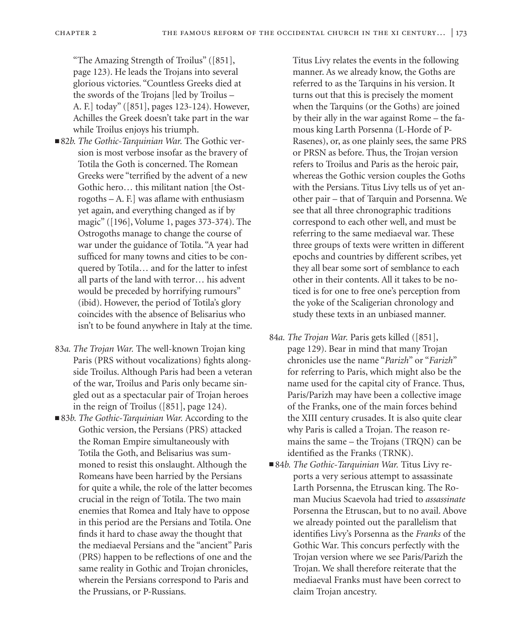"The Amazing Strength of Troilus" ([851], page 123). He leads the Trojans into several glorious victories. "Countless Greeks died at the swords of the Trojans [led by Troilus – A. F.] today" ([851], pages 123-124). However, Achilles the Greek doesn't take part in the war while Troilus enjoys his triumph.

- 82*b. The Gothic-Tarquinian War*. The Gothic version is most verbose insofar as the bravery of Totila the Goth is concerned. The Romean Greeks were "terrified by the advent of a new Gothic hero… this militant nation [the Ostrogoths – A. F.] was aflame with enthusiasm yet again, and everything changed as if by magic" ([196], Volume 1, pages 373-374). The Ostrogoths manage to change the course of war under the guidance of Totila. "A year had sufficed for many towns and cities to be conquered by Totila… and for the latter to infest all parts of the land with terror… his advent would be preceded by horrifying rumours" (ibid). However, the period of Totila's glory coincides with the absence of Belisarius who isn't to be found anywhere in Italy at the time.
- 83*a. The Trojan War.* The well-known Trojan king Paris (PRS without vocalizations) fights alongside Troilus. Although Paris had been a veteran of the war, Troilus and Paris only became singled out as a spectacular pair of Trojan heroes in the reign of Troilus ([851], page 124).
- 83*b. The Gothic-Tarquinian War*. According to the Gothic version, the Persians (PRS) attacked the Roman Empire simultaneously with Totila the Goth, and Belisarius was summoned to resist this onslaught. Although the Romeans have been harried by the Persians for quite a while, the role of the latter becomes crucial in the reign of Totila. The two main enemies that Romea and Italy have to oppose in this period are the Persians and Totila. One finds it hard to chase away the thought that the mediaeval Persians and the "ancient" Paris (PRS) happen to be reflections of one and the same reality in Gothic and Trojan chronicles, wherein the Persians correspond to Paris and the Prussians, or P-Russians.

Titus Livy relates the events in the following manner. As we already know, the Goths are referred to as the Tarquins in his version. It turns out that this is precisely the moment when the Tarquins (or the Goths) are joined by their ally in the war against Rome – the famous king Larth Porsenna (L-Horde of P-Rasenes), or, as one plainly sees, the same PRS or PRSN as before. Thus, the Trojan version refers to Troilus and Paris as the heroic pair, whereas the Gothic version couples the Goths with the Persians. Titus Livy tells us of yet another pair – that of Tarquin and Porsenna. We see that all three chronographic traditions correspond to each other well, and must be referring to the same mediaeval war. These three groups of texts were written in different epochs and countries by different scribes, yet they all bear some sort of semblance to each other in their contents. All it takes to be noticed is for one to free one's perception from the yoke of the Scaligerian chronology and study these texts in an unbiased manner.

- 84*a. The Trojan War.* Paris gets killed ([851], page 129). Bear in mind that many Trojan chronicles use the name "*Parizh*" or "*Farizh*" for referring to Paris, which might also be the name used for the capital city of France. Thus, Paris/Parizh may have been a collective image of the Franks, one of the main forces behind the XIII century crusades. It is also quite clear why Paris is called a Trojan. The reason remains the same – the Trojans (TRQN) can be identified as the Franks (TRNK).
- 84*b. The Gothic-Tarquinian War*. Titus Livy reports a very serious attempt to assassinate Larth Porsenna, the Etruscan king. The Roman Mucius Scaevola had tried to *assassinate* Porsenna the Etruscan, but to no avail. Above we already pointed out the parallelism that identifies Livy's Porsenna as the *Franks* of the Gothic War. This concurs perfectly with the Trojan version where we see Paris/Parizh the Trojan. We shall therefore reiterate that the mediaeval Franks must have been correct to claim Trojan ancestry.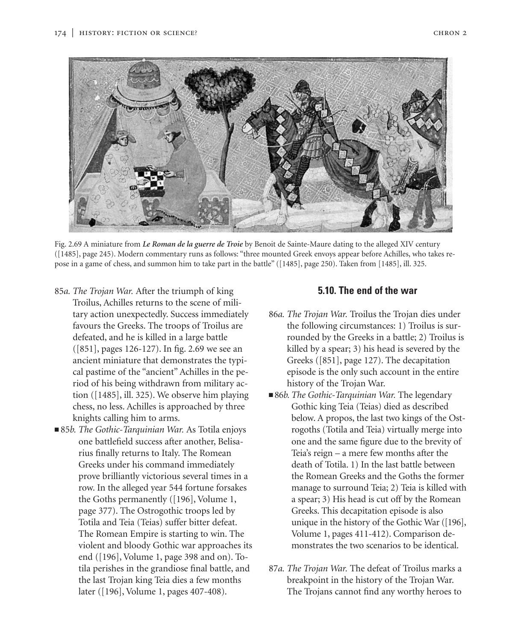

Fig. 2.69 A miniature from *Le Roman de la guerre de Troie* by Benoit de Sainte-Maure dating to the alleged XIV century ([1485], page 245). Modern commentary runs as follows: "three mounted Greek envoys appear before Achilles, who takes repose in a game of chess, and summon him to take part in the battle" ([1485], page 250). Taken from [1485], ill. 325.

- 85*a. The Trojan War.* After the triumph of king Troilus, Achilles returns to the scene of military action unexpectedly. Success immediately favours the Greeks. The troops of Troilus are defeated, and he is killed in a large battle ([851], pages 126-127). In fig. 2.69 we see an ancient miniature that demonstrates the typical pastime of the "ancient" Achilles in the period of his being withdrawn from military action ([1485], ill. 325). We observe him playing chess, no less. Achilles is approached by three knights calling him to arms.
- 85*b. The Gothic-Tarquinian War*. As Totila enjoys one battlefield success after another, Belisarius finally returns to Italy. The Romean Greeks under his command immediately prove brilliantly victorious several times in a row. In the alleged year 544 fortune forsakes the Goths permanently ([196], Volume 1, page 377). The Ostrogothic troops led by Totila and Teia (Teias) suffer bitter defeat. The Romean Empire is starting to win. The violent and bloody Gothic war approaches its end ([196], Volume 1, page 398 and on). Totila perishes in the grandiose final battle, and the last Trojan king Teia dies a few months later ([196], Volume 1, pages 407-408).

## **5.10. The end of the war**

- 86*a. The Trojan War.* Troilus the Trojan dies under the following circumstances: 1) Troilus is surrounded by the Greeks in a battle; 2) Troilus is killed by a spear; 3) his head is severed by the Greeks ([851], page 127). The decapitation episode is the only such account in the entire history of the Trojan War.
- 86*b. The Gothic-Tarquinian War.* The legendary Gothic king Teia (Teias) died as described below. A propos, the last two kings of the Ostrogoths (Totila and Teia) virtually merge into one and the same figure due to the brevity of Teia's reign – a mere few months after the death of Totila. 1) In the last battle between the Romean Greeks and the Goths the former manage to surround Teia; 2) Teia is killed with a spear; 3) His head is cut off by the Romean Greeks. This decapitation episode is also unique in the history of the Gothic War ([196], Volume 1, pages 411-412). Comparison demonstrates the two scenarios to be identical.
- 87*a. The Trojan War.* The defeat of Troilus marks a breakpoint in the history of the Trojan War. The Trojans cannot find any worthy heroes to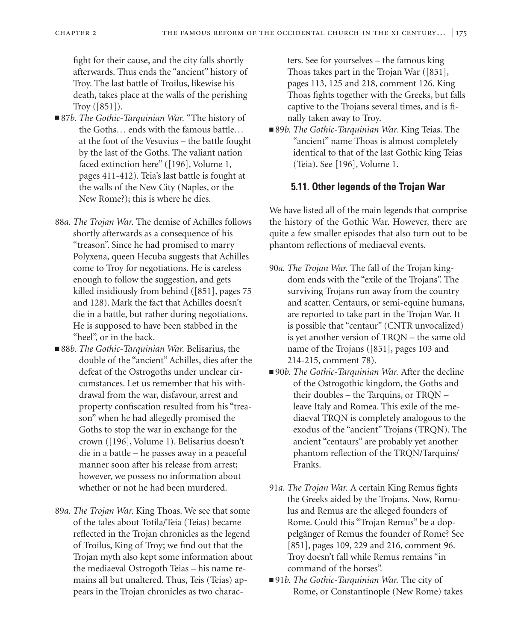fight for their cause, and the city falls shortly afterwards. Thus ends the "ancient" history of Troy. The last battle of Troilus, likewise his death, takes place at the walls of the perishing Troy ([851]).

- 87*b. The Gothic-Tarquinian War*. "The history of the Goths… ends with the famous battle… at the foot of the Vesuvius – the battle fought by the last of the Goths. The valiant nation faced extinction here" ([196], Volume 1, pages 411-412). Teia's last battle is fought at the walls of the New City (Naples, or the New Rome?); this is where he dies.
- 88*a. The Trojan War.* The demise of Achilles follows shortly afterwards as a consequence of his "treason". Since he had promised to marry Polyxena, queen Hecuba suggests that Achilles come to Troy for negotiations. He is careless enough to follow the suggestion, and gets killed insidiously from behind ([851], pages 75 and 128). Mark the fact that Achilles doesn't die in a battle, but rather during negotiations. He is supposed to have been stabbed in the "heel", or in the back.
- 88*b. The Gothic-Tarquinian War*. Belisarius, the double of the "ancient" Achilles, dies after the defeat of the Ostrogoths under unclear circumstances. Let us remember that his withdrawal from the war, disfavour, arrest and property confiscation resulted from his "treason" when he had allegedly promised the Goths to stop the war in exchange for the crown ([196], Volume 1). Belisarius doesn't die in a battle – he passes away in a peaceful manner soon after his release from arrest; however, we possess no information about whether or not he had been murdered.
- 89*a. The Trojan War.* King Thoas. We see that some of the tales about Totila/Teia (Teias) became reflected in the Trojan chronicles as the legend of Troilus, King of Troy; we find out that the Trojan myth also kept some information about the mediaeval Ostrogoth Teias – his name remains all but unaltered. Thus, Teis (Teias) appears in the Trojan chronicles as two charac-

ters. See for yourselves – the famous king Thoas takes part in the Trojan War ([851], pages 113, 125 and 218, comment 126. King Thoas fights together with the Greeks, but falls captive to the Trojans several times, and is finally taken away to Troy.

■ 89*b. The Gothic-Tarquinian War*. King Teias. The "ancient" name Thoas is almost completely identical to that of the last Gothic king Teias (Teia). See [196], Volume 1.

# **5.11. Other legends of the Trojan War**

We have listed all of the main legends that comprise the history of the Gothic War. However, there are quite a few smaller episodes that also turn out to be phantom reflections of mediaeval events.

- 90*a. The Trojan War.* The fall of the Trojan kingdom ends with the "exile of the Trojans". The surviving Trojans run away from the country and scatter. Centaurs, or semi-equine humans, are reported to take part in the Trojan War. It is possible that "centaur" (CNTR unvocalized) is yet another version of TRQN – the same old name of the Trojans ([851], pages 103 and 214-215, comment 78).
- 90*b. The Gothic-Tarquinian War*. After the decline of the Ostrogothic kingdom, the Goths and their doubles – the Tarquins, or TRQN – leave Italy and Romea. This exile of the mediaeval TRQN is completely analogous to the exodus of the "ancient" Trojans (TRQN). The ancient "centaurs" are probably yet another phantom reflection of the TRQN/Tarquins/ Franks.
- 91*a. The Trojan War.* A certain King Remus fights the Greeks aided by the Trojans. Now, Romulus and Remus are the alleged founders of Rome. Could this "Trojan Remus" be a doppelgänger of Remus the founder of Rome? See [851], pages 109, 229 and 216, comment 96. Troy doesn't fall while Remus remains "in command of the horses".
- 91*b. The Gothic-Tarquinian War*. The city of Rome, or Constantinople (New Rome) takes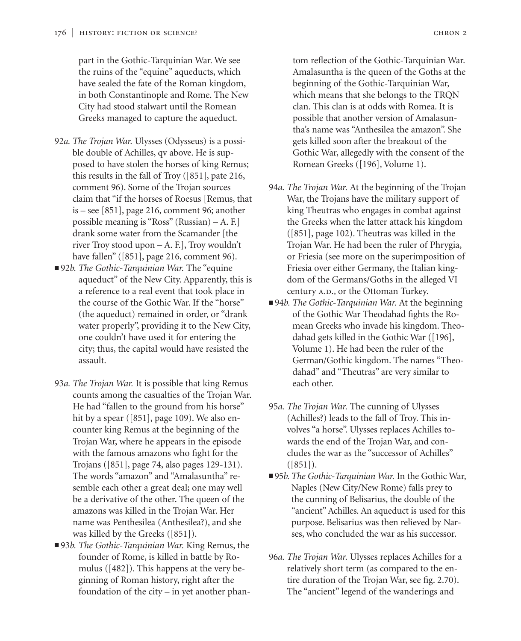part in the Gothic-Tarquinian War. We see the ruins of the "equine" aqueducts, which have sealed the fate of the Roman kingdom, in both Constantinople and Rome. The New City had stood stalwart until the Romean Greeks managed to capture the aqueduct.

- 92*a. The Trojan War.* Ulysses (Odysseus) is a possible double of Achilles, qv above. He is supposed to have stolen the horses of king Remus; this results in the fall of Troy ([851], pate 216, comment 96). Some of the Trojan sources claim that "if the horses of Roesus [Remus, that is – see [851], page 216, comment 96; another possible meaning is "Ross" (Russian) – A. F.] drank some water from the Scamander [the river Troy stood upon – A. F.], Troy wouldn't have fallen" ([851], page 216, comment 96).
- 92*b. The Gothic-Tarquinian War*. The "equine aqueduct" of the New City. Apparently, this is a reference to a real event that took place in the course of the Gothic War. If the "horse" (the aqueduct) remained in order, or "drank water properly", providing it to the New City, one couldn't have used it for entering the city; thus, the capital would have resisted the assault.
- 93*a. The Trojan War.* It is possible that king Remus counts among the casualties of the Trojan War. He had "fallen to the ground from his horse" hit by a spear ([851], page 109). We also encounter king Remus at the beginning of the Trojan War, where he appears in the episode with the famous amazons who fight for the Trojans ([851], page 74, also pages 129-131). The words "amazon" and "Amalasuntha" resemble each other a great deal; one may well be a derivative of the other. The queen of the amazons was killed in the Trojan War. Her name was Penthesilea (Anthesilea?), and she was killed by the Greeks ([851]).
- 93*b. The Gothic-Tarquinian War*. King Remus, the founder of Rome, is killed in battle by Romulus ([482]). This happens at the very beginning of Roman history, right after the foundation of the city – in yet another phan-

tom reflection of the Gothic-Tarquinian War. Amalasuntha is the queen of the Goths at the beginning of the Gothic-Tarquinian War, which means that she belongs to the TRQN clan. This clan is at odds with Romea. It is possible that another version of Amalasuntha's name was "Anthesilea the amazon". She gets killed soon after the breakout of the Gothic War, allegedly with the consent of the Romean Greeks ([196], Volume 1).

- 94*a. The Trojan War.* At the beginning of the Trojan War, the Trojans have the military support of king Theutras who engages in combat against the Greeks when the latter attack his kingdom ([851], page 102). Theutras was killed in the Trojan War. He had been the ruler of Phrygia, or Friesia (see more on the superimposition of Friesia over either Germany, the Italian kingdom of the Germans/Goths in the alleged VI century A.D., or the Ottoman Turkey.
- 94*b. The Gothic-Tarquinian War*. At the beginning of the Gothic War Theodahad fights the Romean Greeks who invade his kingdom. Theodahad gets killed in the Gothic War ([196], Volume 1). He had been the ruler of the German/Gothic kingdom. The names "Theodahad" and "Theutras" are very similar to each other.
- 95*a. The Trojan War.* The cunning of Ulysses (Achilles?) leads to the fall of Troy. This involves "a horse". Ulysses replaces Achilles towards the end of the Trojan War, and concludes the war as the "successor of Achilles"  $([851])$ .
- 95*b. The Gothic-Tarquinian War*. In the Gothic War, Naples (New City/New Rome) falls prey to the cunning of Belisarius, the double of the "ancient" Achilles. An aqueduct is used for this purpose. Belisarius was then relieved by Narses, who concluded the war as his successor.
- 96*a. The Trojan War.* Ulysses replaces Achilles for a relatively short term (as compared to the entire duration of the Trojan War, see fig. 2.70). The "ancient" legend of the wanderings and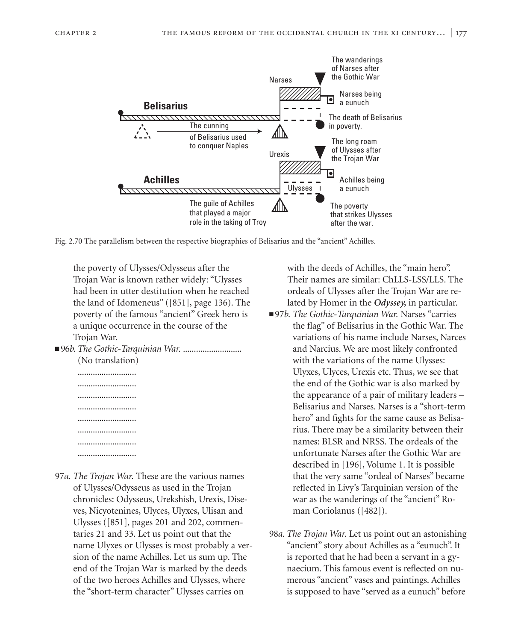

Fig. 2.70 The parallelism between the respective biographies of Belisarius and the "ancient" Achilles.

the poverty of Ulysses/Odysseus after the Trojan War is known rather widely: "Ulysses had been in utter destitution when he reached the land of Idomeneus" ([851], page 136). The poverty of the famous "ancient" Greek hero is a unique occurrence in the course of the Trojan War.

■ 96*b. The Gothic-Tarquinian War.* ........................... (No translation)

........................... ........................... ........................... ........................... ........................... ........................... ...........................

97*a. The Trojan War.* These are the various names of Ulysses/Odysseus as used in the Trojan chronicles: Odysseus, Urekshish, Urexis, Diseves, Nicyotenines, Ulyces, Ulyxes, Ulisan and Ulysses ([851], pages 201 and 202, commentaries 21 and 33. Let us point out that the name Ulyxes or Ulysses is most probably a version of the name Achilles. Let us sum up. The end of the Trojan War is marked by the deeds of the two heroes Achilles and Ulysses, where the "short-term character" Ulysses carries on

with the deeds of Achilles, the "main hero". Their names are similar: ChLLS-LSS/LLS. The ordeals of Ulysses after the Trojan War are related by Homer in the *Odyssey,* in particular.

- 97*b. The Gothic-Tarquinian War*. Narses "carries the flag" of Belisarius in the Gothic War. The variations of his name include Narses, Narces and Narcius. We are most likely confronted with the variations of the name Ulysses: Ulyxes, Ulyces, Urexis etc. Thus, we see that the end of the Gothic war is also marked by the appearance of a pair of military leaders – Belisarius and Narses. Narses is a "short-term hero" and fights for the same cause as Belisarius. There may be a similarity between their names: BLSR and NRSS. The ordeals of the unfortunate Narses after the Gothic War are described in [196], Volume 1. It is possible that the very same "ordeal of Narses" became reflected in Livy's Tarquinian version of the war as the wanderings of the "ancient" Roman Coriolanus ([482]).
- 98*a. The Trojan War.* Let us point out an astonishing "ancient" story about Achilles as a "eunuch". It is reported that he had been a servant in a gynaecium. This famous event is reflected on numerous "ancient" vases and paintings. Achilles is supposed to have "served as a eunuch" before